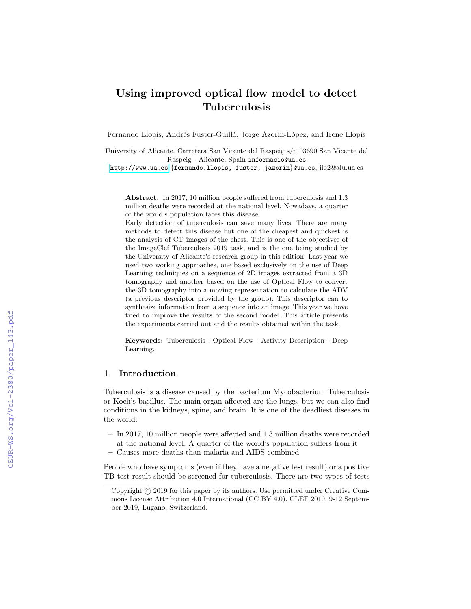# Using improved optical flow model to detect Tuberculosis

Fernando Llopis, Andrés Fuster-Guilló, Jorge Azorín-López, and Irene Llopis

University of Alicante. Carretera San Vicente del Raspeig s/n 03690 San Vicente del Raspeig - Alicante, Spain informacio@ua.es

<http://www.ua.es> {fernando.llopis, fuster, jazorin}@ua.es, ilq2@alu.ua.es

Abstract. In 2017, 10 million people suffered from tuberculosis and 1.3 million deaths were recorded at the national level. Nowadays, a quarter of the world's population faces this disease.

Early detection of tuberculosis can save many lives. There are many methods to detect this disease but one of the cheapest and quickest is the analysis of CT images of the chest. This is one of the objectives of the ImageClef Tuberculosis 2019 task, and is the one being studied by the University of Alicante's research group in this edition. Last year we used two working approaches, one based exclusively on the use of Deep Learning techniques on a sequence of 2D images extracted from a 3D tomography and another based on the use of Optical Flow to convert the 3D tomography into a moving representation to calculate the ADV (a previous descriptor provided by the group). This descriptor can to synthesize information from a sequence into an image. This year we have tried to improve the results of the second model. This article presents the experiments carried out and the results obtained within the task.

Keywords: Tuberculosis · Optical Flow · Activity Description · Deep Learning.

# 1 Introduction

Tuberculosis is a disease caused by the bacterium Mycobacterium Tuberculosis or Koch's bacillus. The main organ affected are the lungs, but we can also find conditions in the kidneys, spine, and brain. It is one of the deadliest diseases in the world:

- In 2017, 10 million people were affected and 1.3 million deaths were recorded at the national level. A quarter of the world's population suffers from it
- Causes more deaths than malaria and AIDS combined

People who have symptoms (even if they have a negative test result) or a positive TB test result should be screened for tuberculosis. There are two types of tests

Copyright  $\odot$  2019 for this paper by its authors. Use permitted under Creative Commons License Attribution 4.0 International (CC BY 4.0). CLEF 2019, 9-12 September 2019, Lugano, Switzerland.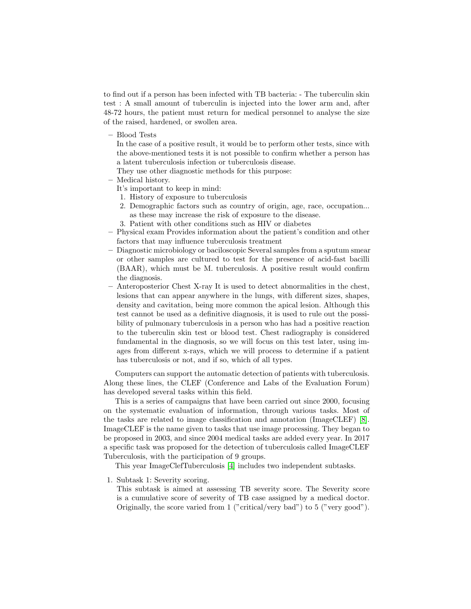to find out if a person has been infected with TB bacteria: - The tuberculin skin test : A small amount of tuberculin is injected into the lower arm and, after 48-72 hours, the patient must return for medical personnel to analyse the size of the raised, hardened, or swollen area.

– Blood Tests

In the case of a positive result, it would be to perform other tests, since with the above-mentioned tests it is not possible to confirm whether a person has a latent tuberculosis infection or tuberculosis disease.

They use other diagnostic methods for this purpose:

- Medical history.
	- It's important to keep in mind:
	- 1. History of exposure to tuberculosis
	- 2. Demographic factors such as country of origin, age, race, occupation... as these may increase the risk of exposure to the disease.
	- 3. Patient with other conditions such as HIV or diabetes
- Physical exam Provides information about the patient's condition and other factors that may influence tuberculosis treatment
- Diagnostic microbiology or baciloscopic Several samples from a sputum smear or other samples are cultured to test for the presence of acid-fast bacilli (BAAR), which must be M. tuberculosis. A positive result would confirm the diagnosis.
- Anteroposterior Chest X-ray It is used to detect abnormalities in the chest, lesions that can appear anywhere in the lungs, with different sizes, shapes, density and cavitation, being more common the apical lesion. Although this test cannot be used as a definitive diagnosis, it is used to rule out the possibility of pulmonary tuberculosis in a person who has had a positive reaction to the tuberculin skin test or blood test. Chest radiography is considered fundamental in the diagnosis, so we will focus on this test later, using images from different x-rays, which we will process to determine if a patient has tuberculosis or not, and if so, which of all types.

Computers can support the automatic detection of patients with tuberculosis. Along these lines, the CLEF (Conference and Labs of the Evaluation Forum) has developed several tasks within this field.

This is a series of campaigns that have been carried out since 2000, focusing on the systematic evaluation of information, through various tasks. Most of the tasks are related to image classification and annotation (ImageCLEF) [\[8\]](#page-6-0). ImageCLEF is the name given to tasks that use image processing. They began to be proposed in 2003, and since 2004 medical tasks are added every year. In 2017 a specific task was proposed for the detection of tuberculosis called ImageCLEF Tuberculosis, with the participation of 9 groups.

This year ImageClefTuberculosis [\[4\]](#page-6-1) includes two independent subtasks.

1. Subtask 1: Severity scoring.

This subtask is aimed at assessing TB severity score. The Severity score is a cumulative score of severity of TB case assigned by a medical doctor. Originally, the score varied from 1 ("critical/very bad") to 5 ("very good").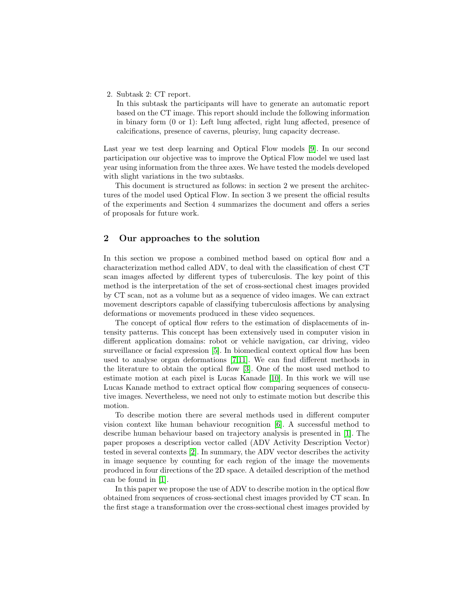2. Subtask 2: CT report.

In this subtask the participants will have to generate an automatic report based on the CT image. This report should include the following information in binary form (0 or 1): Left lung affected, right lung affected, presence of calcifications, presence of caverns, pleurisy, lung capacity decrease.

Last year we test deep learning and Optical Flow models [\[9\]](#page-6-2). In our second participation our objective was to improve the Optical Flow model we used last year using information from the three axes. We have tested the models developed with slight variations in the two subtasks.

This document is structured as follows: in section 2 we present the architectures of the model used Optical Flow. In section 3 we present the official results of the experiments and Section 4 summarizes the document and offers a series of proposals for future work.

# 2 Our approaches to the solution

In this section we propose a combined method based on optical flow and a characterization method called ADV, to deal with the classification of chest CT scan images affected by different types of tuberculosis. The key point of this method is the interpretation of the set of cross-sectional chest images provided by CT scan, not as a volume but as a sequence of video images. We can extract movement descriptors capable of classifying tuberculosis affections by analysing deformations or movements produced in these video sequences.

The concept of optical flow refers to the estimation of displacements of intensity patterns. This concept has been extensively used in computer vision in different application domains: robot or vehicle navigation, car driving, video surveillance or facial expression [\[5\]](#page-6-3). In biomedical context optical flow has been used to analyse organ deformations [\[7,](#page-6-4)[11\]](#page-6-5). We can find different methods in the literature to obtain the optical flow [\[3\]](#page-5-0). One of the most used method to estimate motion at each pixel is Lucas Kanade [\[10\]](#page-6-6). In this work we will use Lucas Kanade method to extract optical flow comparing sequences of consecutive images. Nevertheless, we need not only to estimate motion but describe this motion.

To describe motion there are several methods used in different computer vision context like human behaviour recognition [\[6\]](#page-6-7). A successful method to describe human behaviour based on trajectory analysis is presented in [\[1\]](#page-5-1). The paper proposes a description vector called (ADV Activity Description Vector) tested in several contexts [\[2\]](#page-5-2). In summary, the ADV vector describes the activity in image sequence by counting for each region of the image the movements produced in four directions of the 2D space. A detailed description of the method can be found in [\[1\]](#page-5-1).

In this paper we propose the use of ADV to describe motion in the optical flow obtained from sequences of cross-sectional chest images provided by CT scan. In the first stage a transformation over the cross-sectional chest images provided by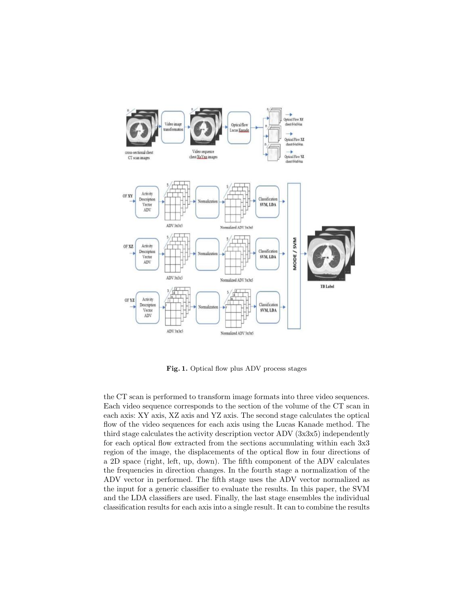

Fig. 1. Optical flow plus ADV process stages

the CT scan is performed to transform image formats into three video sequences. Each video sequence corresponds to the section of the volume of the CT scan in each axis: XY axis, XZ axis and YZ axis. The second stage calculates the optical flow of the video sequences for each axis using the Lucas Kanade method. The third stage calculates the activity description vector ADV (3x3x5) independently for each optical flow extracted from the sections accumulating within each 3x3 region of the image, the displacements of the optical flow in four directions of a 2D space (right, left, up, down). The fifth component of the ADV calculates the frequencies in direction changes. In the fourth stage a normalization of the ADV vector in performed. The fifth stage uses the ADV vector normalized as the input for a generic classifier to evaluate the results. In this paper, the SVM and the LDA classifiers are used. Finally, the last stage ensembles the individual classification results for each axis into a single result. It can to combine the results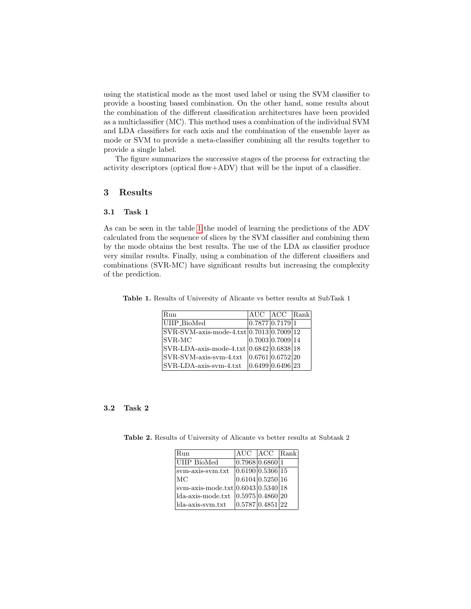using the statistical mode as the most used label or using the SVM classifier to provide a boosting based combination. On the other hand, some results about the combination of the different classification architectures have been provided as a multiclassifier (MC). This method uses a combination of the individual SVM and LDA classifiers for each axis and the combination of the ensemble layer as mode or SVM to provide a meta-classifier combining all the results together to provide a single label.

The figure summarizes the successive stages of the process for extracting the activity descriptors (optical flow+ADV) that will be the input of a classifier.

### 3 Results

#### 3.1 Task 1

As can be seen in the table [1](#page-4-0) the model of learning the predictions of the ADV calculated from the sequence of slices by the SVM classifier and combining them by the mode obtains the best results. The use of the LDA as classifier produce very similar results. Finally, using a combination of the different classifiers and combinations (SVR-MC) have significant results but increasing the complexity of the prediction.

Table 1. Results of University of Alicante vs better results at SubTask 1

<span id="page-4-0"></span>

| Run                                                                 | AUC ACC Rank     |  |
|---------------------------------------------------------------------|------------------|--|
| UIIP_BioMed                                                         | 0.7877 0.7179 1  |  |
| $\text{SVR-SVM-axis-mode-4.txt} \vert 0.7013 \vert 0.7009 \vert 12$ |                  |  |
| SVR-MC                                                              | 0.7003 0.7009 14 |  |
| $ SVR-LDA-axis-mode-4.txt 0.6842 0.6838 18$                         |                  |  |
| $\operatorname{SVR-SVM-axis-svm-4.txt}$                             | 0.6761 0.6752 20 |  |
| SVR-LDA-axis-svm-4.txt                                              | 0.6499 0.6496 23 |  |

#### 3.2 Task 2

Table 2. Results of University of Alicante vs better results at Subtask 2

<span id="page-4-1"></span>

| Run                                   |                  | AUC   ACC   Rank |  |
|---------------------------------------|------------------|------------------|--|
| UIIP BioMed                           | 0.7968 0.6860 1  |                  |  |
| sym-axis-sym.txt                      | 0.6190 0.5366 15 |                  |  |
| МC                                    | 0.6104 0.5250 16 |                  |  |
| svm-axis-mode.txt $ 0.6043 0.5340 18$ |                  |                  |  |
| lda-axis-mode.txt                     | 0.5975 0.4860 20 |                  |  |
| lda-axis-svm.txt                      | 0.5787 0.4851 22 |                  |  |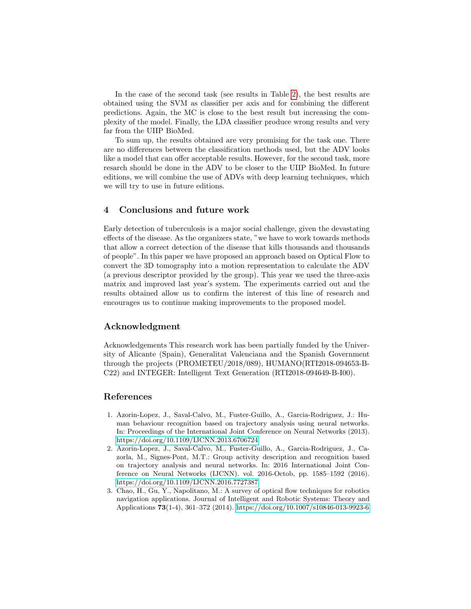In the case of the second task (see results in Table [2\)](#page-4-1), the best results are obtained using the SVM as classifier per axis and for combining the different predictions. Again, the MC is close to the best result but increasing the complexity of the model. Finally, the LDA classifier produce wrong results and very far from the UIIP BioMed.

To sum up, the results obtained are very promising for the task one. There are no differences between the classification methods used, but the ADV looks like a model that can offer acceptable results. However, for the second task, more resarch should be done in the ADV to be closer to the UIIP BioMed. In future editions, we will combine the use of ADVs with deep learning techniques, which we will try to use in future editions.

# 4 Conclusions and future work

Early detection of tuberculosis is a major social challenge, given the devastating effects of the disease. As the organizers state, "we have to work towards methods that allow a correct detection of the disease that kills thousands and thousands of people". In this paper we have proposed an approach based on Optical Flow to convert the 3D tomography into a motion representation to calculate the ADV (a previous descriptor provided by the group). This year we used the three-axis matrix and improved last year's system. The experiments carried out and the results obtained allow us to confirm the interest of this line of research and encourages us to continue making improvements to the proposed model.

#### Acknowledgment

Acknowledgements This research work has been partially funded by the University of Alicante (Spain), Generalitat Valenciana and the Spanish Government through the projects (PROMETEU/2018/089), HUMANO(RTI2018-094653-B-C22) and INTEGER: Intelligent Text Generation (RTI2018-094649-B-I00).

# References

- <span id="page-5-1"></span>1. Azorin-Lopez, J., Saval-Calvo, M., Fuster-Guillo, A., Garcia-Rodriguez, J.: Human behaviour recognition based on trajectory analysis using neural networks. In: Proceedings of the International Joint Conference on Neural Networks (2013). <https://doi.org/10.1109/IJCNN.2013.6706724>
- <span id="page-5-2"></span>2. Azorin-Lopez, J., Saval-Calvo, M., Fuster-Guillo, A., Garcia-Rodriguez, J., Cazorla, M., Signes-Pont, M.T.: Group activity description and recognition based on trajectory analysis and neural networks. In: 2016 International Joint Conference on Neural Networks (IJCNN). vol. 2016-Octob, pp. 1585–1592 (2016). <https://doi.org/10.1109/IJCNN.2016.7727387>
- <span id="page-5-0"></span>3. Chao, H., Gu, Y., Napolitano, M.: A survey of optical flow techniques for robotics navigation applications. Journal of Intelligent and Robotic Systems: Theory and Applications 73(1-4), 361–372 (2014).<https://doi.org/10.1007/s10846-013-9923-6>